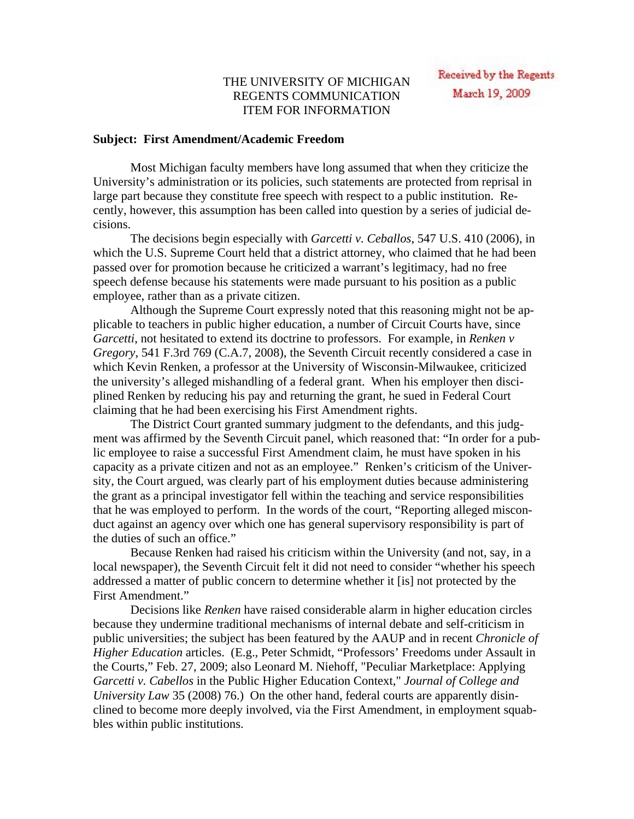## THE UNIVERSITY OF MICHIGAN REGENTS COMMUNICATION ITEM FOR INFORMATION

## **Subject: First Amendment/Academic Freedom**

Most Michigan faculty members have long assumed that when they criticize the University's administration or its policies, such statements are protected from reprisal in large part because they constitute free speech with respect to a public institution. Recently, however, this assumption has been called into question by a series of judicial decisions.

The decisions begin especially with *Garcetti v. Ceballos*, 547 U.S. 410 (2006), in which the U.S. Supreme Court held that a district attorney, who claimed that he had been passed over for promotion because he criticized a warrant's legitimacy, had no free speech defense because his statements were made pursuant to his position as a public employee, rather than as a private citizen.

Although the Supreme Court expressly noted that this reasoning might not be applicable to teachers in public higher education, a number of Circuit Courts have, since *Garcetti*, not hesitated to extend its doctrine to professors. For example, in *Renken v Gregory*, 541 F.3rd 769 (C.A.7, 2008), the Seventh Circuit recently considered a case in which Kevin Renken, a professor at the University of Wisconsin-Milwaukee, criticized the university's alleged mishandling of a federal grant. When his employer then disciplined Renken by reducing his pay and returning the grant, he sued in Federal Court claiming that he had been exercising his First Amendment rights.

The District Court granted summary judgment to the defendants, and this judgment was affirmed by the Seventh Circuit panel, which reasoned that: "In order for a public employee to raise a successful First Amendment claim, he must have spoken in his capacity as a private citizen and not as an employee." Renken's criticism of the University, the Court argued, was clearly part of his employment duties because administering the grant as a principal investigator fell within the teaching and service responsibilities that he was employed to perform. In the words of the court, "Reporting alleged misconduct against an agency over which one has general supervisory responsibility is part of the duties of such an office."

Because Renken had raised his criticism within the University (and not, say, in a local newspaper), the Seventh Circuit felt it did not need to consider "whether his speech addressed a matter of public concern to determine whether it [is] not protected by the First Amendment."

Decisions like *Renken* have raised considerable alarm in higher education circles because they undermine traditional mechanisms of internal debate and self-criticism in public universities; the subject has been featured by the AAUP and in recent *Chronicle of Higher Education* articles. (E.g., Peter Schmidt, "Professors' Freedoms under Assault in the Courts," Feb. 27, 2009; also Leonard M. Niehoff, "Peculiar Marketplace: Applying *Garcetti v. Cabellos* in the Public Higher Education Context," *Journal of College and University Law* 35 (2008) 76.) On the other hand, federal courts are apparently disinclined to become more deeply involved, via the First Amendment, in employment squabbles within public institutions.